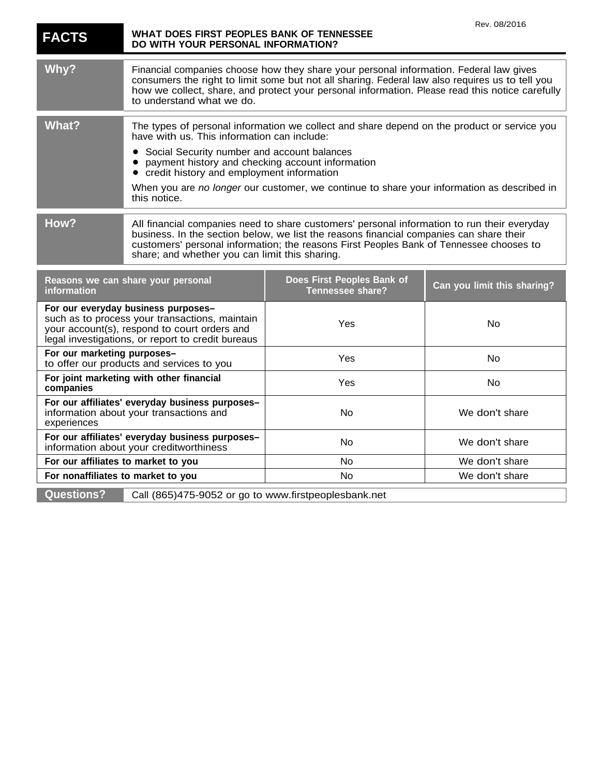| <b>FACTS</b>                                                                                                                                                                               | WHAT DOES FIRST PEOPLES BANK OF TENNESSEE<br>DO WITH YOUR PERSONAL INFORMATION?                                                                                                                                                                                                                                                     |                                                                                            | Rev. 08/2016                |
|--------------------------------------------------------------------------------------------------------------------------------------------------------------------------------------------|-------------------------------------------------------------------------------------------------------------------------------------------------------------------------------------------------------------------------------------------------------------------------------------------------------------------------------------|--------------------------------------------------------------------------------------------|-----------------------------|
| Why?                                                                                                                                                                                       | Financial companies choose how they share your personal information. Federal law gives<br>consumers the right to limit some but not all sharing. Federal law also requires us to tell you<br>how we collect, share, and protect your personal information. Please read this notice carefully<br>to understand what we do.           |                                                                                            |                             |
| <b>What?</b>                                                                                                                                                                               | The types of personal information we collect and share depend on the product or service you<br>have with us. This information can include:                                                                                                                                                                                          |                                                                                            |                             |
|                                                                                                                                                                                            | Social Security number and account balances<br>payment history and checking account information<br>credit history and employment information                                                                                                                                                                                        |                                                                                            |                             |
|                                                                                                                                                                                            | this notice.                                                                                                                                                                                                                                                                                                                        | When you are no longer our customer, we continue to share your information as described in |                             |
| How?                                                                                                                                                                                       | All financial companies need to share customers' personal information to run their everyday<br>business. In the section below, we list the reasons financial companies can share their<br>customers' personal information; the reasons First Peoples Bank of Tennessee chooses to<br>share; and whether you can limit this sharing. |                                                                                            |                             |
| Reasons we can share your personal<br>information                                                                                                                                          |                                                                                                                                                                                                                                                                                                                                     | Does First Peoples Bank of<br>Tennessee share?                                             | Can you limit this sharing? |
| For our everyday business purposes-<br>such as to process your transactions, maintain<br>your account(s), respond to court orders and<br>legal investigations, or report to credit bureaus |                                                                                                                                                                                                                                                                                                                                     | Yes                                                                                        | No                          |
| For our marketing purposes-<br>to offer our products and services to you                                                                                                                   |                                                                                                                                                                                                                                                                                                                                     | Yes                                                                                        | No                          |
| For joint marketing with other financial<br>companies                                                                                                                                      |                                                                                                                                                                                                                                                                                                                                     | Yes                                                                                        | No                          |
| For our affiliates' everyday business purposes-<br>information about your transactions and<br>experiences                                                                                  |                                                                                                                                                                                                                                                                                                                                     | No                                                                                         | We don't share              |
| For our affiliates' everyday business purposes-<br>information about your creditworthiness                                                                                                 |                                                                                                                                                                                                                                                                                                                                     | No                                                                                         | We don't share              |
| For our affiliates to market to you                                                                                                                                                        |                                                                                                                                                                                                                                                                                                                                     | No                                                                                         | We don't share              |
| For nonaffiliates to market to you                                                                                                                                                         |                                                                                                                                                                                                                                                                                                                                     | No                                                                                         | We don't share              |
| <b>Questions?</b><br>Call (865)475-9052 or go to www.firstpeoplesbank.net                                                                                                                  |                                                                                                                                                                                                                                                                                                                                     |                                                                                            |                             |